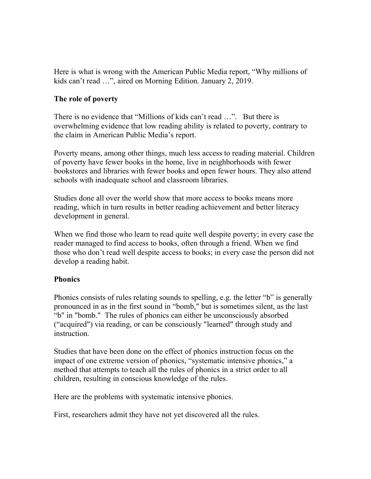Here is what is wrong with the American Public Media report, "Why millions of kids can't read …", aired on Morning Edition. January 2, 2019.

### **The role of poverty**

There is no evidence that "Millions of kids can't read …". But there is overwhelming evidence that low reading ability is related to poverty, contrary to the claim in American Public Media's report.

Poverty means, among other things, much less access to reading material. Children of poverty have fewer books in the home, live in neighborhoods with fewer bookstores and libraries with fewer books and open fewer hours. They also attend schools with inadequate school and classroom libraries.

Studies done all over the world show that more access to books means more reading, which in turn results in better reading achievement and better literacy development in general.

When we find those who learn to read quite well despite poverty; in every case the reader managed to find access to books, often through a friend. When we find those who don't read well despite access to books; in every case the person did not develop a reading habit.

# **Phonics**

Phonics consists of rules relating sounds to spelling, e.g. the letter "b" is generally pronounced in as in the first sound in "bomb," but is sometimes silent, as the last "b" in "bomb." The rules of phonics can either be unconsciously absorbed ("acquired") via reading, or can be consciously "learned" through study and instruction.

Studies that have been done on the effect of phonics instruction focus on the impact of one extreme version of phonics, "systematic intensive phonics," a method that attempts to teach all the rules of phonics in a strict order to all children, resulting in conscious knowledge of the rules.

Here are the problems with systematic intensive phonics.

First, researchers admit they have not yet discovered all the rules.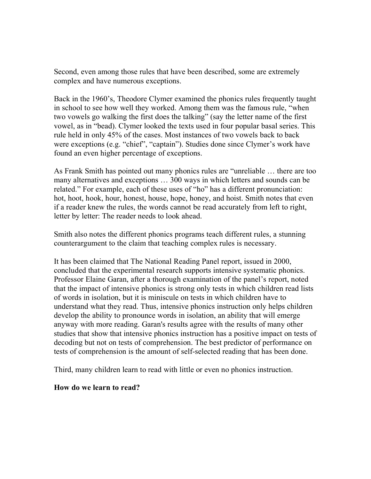Second, even among those rules that have been described, some are extremely complex and have numerous exceptions.

Back in the 1960's, Theodore Clymer examined the phonics rules frequently taught in school to see how well they worked. Among them was the famous rule, "when two vowels go walking the first does the talking" (say the letter name of the first vowel, as in "bead). Clymer looked the texts used in four popular basal series. This rule held in only 45% of the cases. Most instances of two vowels back to back were exceptions (e.g. "chief", "captain"). Studies done since Clymer's work have found an even higher percentage of exceptions.

As Frank Smith has pointed out many phonics rules are "unreliable … there are too many alternatives and exceptions … 300 ways in which letters and sounds can be related." For example, each of these uses of "ho" has a different pronunciation: hot, hoot, hook, hour, honest, house, hope, honey, and hoist. Smith notes that even if a reader knew the rules, the words cannot be read accurately from left to right, letter by letter: The reader needs to look ahead.

Smith also notes the different phonics programs teach different rules, a stunning counterargument to the claim that teaching complex rules is necessary.

It has been claimed that The National Reading Panel report, issued in 2000, concluded that the experimental research supports intensive systematic phonics. Professor Elaine Garan, after a thorough examination of the panel's report, noted that the impact of intensive phonics is strong only tests in which children read lists of words in isolation, but it is miniscule on tests in which children have to understand what they read. Thus, intensive phonics instruction only helps children develop the ability to pronounce words in isolation, an ability that will emerge anyway with more reading. Garan's results agree with the results of many other studies that show that intensive phonics instruction has a positive impact on tests of decoding but not on tests of comprehension. The best predictor of performance on tests of comprehension is the amount of self-selected reading that has been done.

Third, many children learn to read with little or even no phonics instruction.

#### **How do we learn to read?**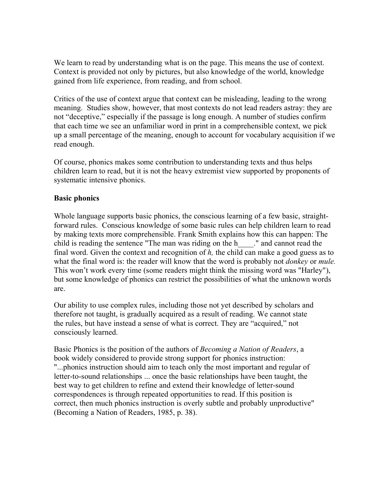We learn to read by understanding what is on the page. This means the use of context. Context is provided not only by pictures, but also knowledge of the world, knowledge gained from life experience, from reading, and from school.

Critics of the use of context argue that context can be misleading, leading to the wrong meaning. Studies show, however, that most contexts do not lead readers astray: they are not "deceptive," especially if the passage is long enough. A number of studies confirm that each time we see an unfamiliar word in print in a comprehensible context, we pick up a small percentage of the meaning, enough to account for vocabulary acquisition if we read enough.

Of course, phonics makes some contribution to understanding texts and thus helps children learn to read, but it is not the heavy extremist view supported by proponents of systematic intensive phonics.

## **Basic phonics**

Whole language supports basic phonics, the conscious learning of a few basic, straightforward rules. Conscious knowledge of some basic rules can help children learn to read by making texts more comprehensible. Frank Smith explains how this can happen: The child is reading the sentence "The man was riding on the h\_\_\_\_." and cannot read the final word. Given the context and recognition of *h,* the child can make a good guess as to what the final word is: the reader will know that the word is probably not *donkey* or *mule.* This won't work every time (some readers might think the missing word was "Harley"), but some knowledge of phonics can restrict the possibilities of what the unknown words are.

Our ability to use complex rules, including those not yet described by scholars and therefore not taught, is gradually acquired as a result of reading. We cannot state the rules, but have instead a sense of what is correct. They are "acquired," not consciously learned.

Basic Phonics is the position of the authors of *Becoming a Nation of Readers*, a book widely considered to provide strong support for phonics instruction: "...phonics instruction should aim to teach only the most important and regular of letter-to-sound relationships ... once the basic relationships have been taught, the best way to get children to refine and extend their knowledge of letter-sound correspondences is through repeated opportunities to read. If this position is correct, then much phonics instruction is overly subtle and probably unproductive" (Becoming a Nation of Readers, 1985, p. 38).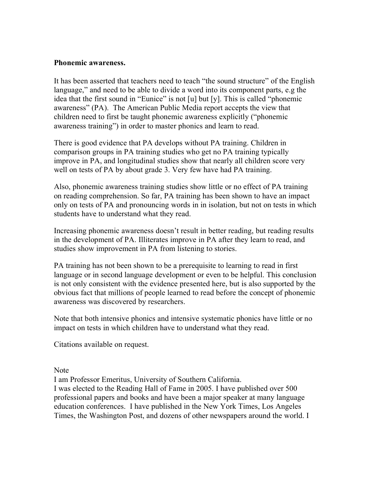#### **Phonemic awareness.**

It has been asserted that teachers need to teach "the sound structure" of the English language," and need to be able to divide a word into its component parts, e.g the idea that the first sound in "Eunice" is not [u] but [y]. This is called "phonemic awareness" (PA). The American Public Media report accepts the view that children need to first be taught phonemic awareness explicitly ("phonemic awareness training") in order to master phonics and learn to read.

There is good evidence that PA develops without PA training. Children in comparison groups in PA training studies who get no PA training typically improve in PA, and longitudinal studies show that nearly all children score very well on tests of PA by about grade 3. Very few have had PA training.

Also, phonemic awareness training studies show little or no effect of PA training on reading comprehension. So far, PA training has been shown to have an impact only on tests of PA and pronouncing words in in isolation, but not on tests in which students have to understand what they read.

Increasing phonemic awareness doesn't result in better reading, but reading results in the development of PA. Illiterates improve in PA after they learn to read, and studies show improvement in PA from listening to stories.

PA training has not been shown to be a prerequisite to learning to read in first language or in second language development or even to be helpful. This conclusion is not only consistent with the evidence presented here, but is also supported by the obvious fact that millions of people learned to read before the concept of phonemic awareness was discovered by researchers.

Note that both intensive phonics and intensive systematic phonics have little or no impact on tests in which children have to understand what they read.

Citations available on request.

**Note** 

I am Professor Emeritus, University of Southern California.

I was elected to the Reading Hall of Fame in 2005. I have published over 500 professional papers and books and have been a major speaker at many language education conferences. I have published in the New York Times, Los Angeles Times, the Washington Post, and dozens of other newspapers around the world. I